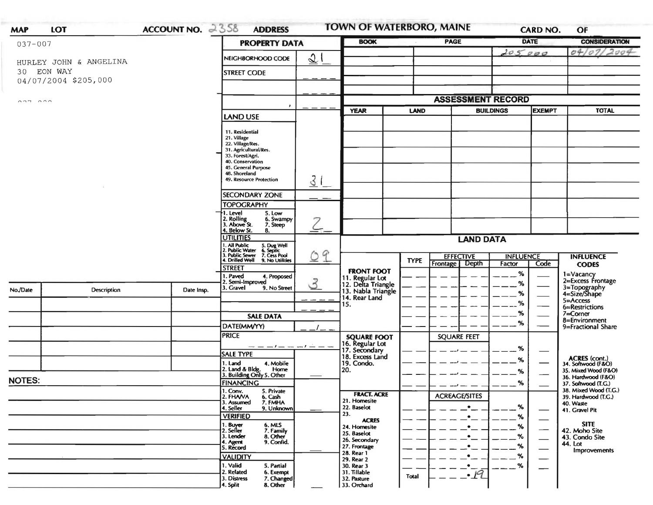|                                                                           | LOT                             | ACCOUNT NO. 2358                                                         | <b>ADDRESS</b>                                                                                                                                                                         | <b>TOWN OF WATERBORO, MAINE</b> |                                                                              |                                                        | <b>CARD NO.</b>      |                          | OF                               |                                                   |
|---------------------------------------------------------------------------|---------------------------------|--------------------------------------------------------------------------|----------------------------------------------------------------------------------------------------------------------------------------------------------------------------------------|---------------------------------|------------------------------------------------------------------------------|--------------------------------------------------------|----------------------|--------------------------|----------------------------------|---------------------------------------------------|
| $037 - 007$                                                               |                                 | <b>PROPERTY DATA</b>                                                     |                                                                                                                                                                                        | <b>BOOK</b>                     |                                                                              | <b>PAGE</b>                                            |                      | <b>DATE</b>              | <b>CONSIDERATION</b>             |                                                   |
| HURLEY JOHN & ANGELINA                                                    |                                 |                                                                          | 21<br>NEIGHBORHOOD CODE                                                                                                                                                                |                                 |                                                                              |                                                        |                      | 205.000                  |                                  | 04/07/2004                                        |
| 30                                                                        | EON WAY<br>04/07/2004 \$205,000 |                                                                          | <b>STREET CODE</b>                                                                                                                                                                     |                                 |                                                                              |                                                        |                      |                          |                                  |                                                   |
|                                                                           |                                 |                                                                          |                                                                                                                                                                                        |                                 |                                                                              |                                                        |                      |                          |                                  |                                                   |
| $\begin{array}{c} \n\circ \circ \circ \\ \n\circ \circ \circ \end{array}$ |                                 |                                                                          |                                                                                                                                                                                        |                                 | <b>ASSESSMENT RECORD</b>                                                     |                                                        |                      |                          |                                  |                                                   |
|                                                                           |                                 |                                                                          | <b>LAND USE</b>                                                                                                                                                                        |                                 | <b>YEAR</b>                                                                  | LAND                                                   | <b>BUILDINGS</b>     |                          | <b>EXEMPT</b>                    | <b>TOTAL</b>                                      |
|                                                                           |                                 |                                                                          | 11. Residential<br>21. Village<br>22. Village/Res.<br>31. Agricultural/Res.<br>33. Forest/Agri.<br>40. Conservation<br>45. General Purpose<br>48. Shoreland<br>49. Resource Protection | $\overline{3}$                  |                                                                              |                                                        |                      |                          |                                  |                                                   |
|                                                                           |                                 |                                                                          | <b>SECONDARY ZONE</b>                                                                                                                                                                  |                                 |                                                                              |                                                        |                      |                          |                                  |                                                   |
|                                                                           |                                 |                                                                          | <b>TOPOGRAPHY</b>                                                                                                                                                                      |                                 |                                                                              |                                                        |                      |                          |                                  |                                                   |
|                                                                           |                                 |                                                                          | I. Level<br>5. Low<br>2. Rolling<br>3. Above St.<br>6. Swampy<br>7. Steep                                                                                                              |                                 |                                                                              |                                                        |                      |                          |                                  |                                                   |
|                                                                           |                                 |                                                                          | 4. Below St.<br>8.<br><b>UTILITIES</b>                                                                                                                                                 |                                 |                                                                              |                                                        |                      |                          |                                  |                                                   |
|                                                                           |                                 |                                                                          | . All Public<br>5. Dug Well<br>6. Septic<br>7. Cess Pool                                                                                                                               |                                 | <b>LAND DATA</b>                                                             |                                                        |                      |                          |                                  |                                                   |
|                                                                           |                                 | 2. Public Water<br>3. Public Sewer<br>4. Drilled Well<br>9. No Utilities | 9<br>$\circ$                                                                                                                                                                           |                                 | <b>TYPE</b>                                                                  | <b>EFFECTIVE</b><br>Frontage<br><b>Depth</b><br>Factor |                      | <b>INFLUENCE</b><br>Code | <b>INFLUENCE</b><br><b>CODES</b> |                                                   |
|                                                                           |                                 |                                                                          | <b>STREET</b><br>I. Paved<br>4. Proposed                                                                                                                                               |                                 | <b>FRONT FOOT</b>                                                            |                                                        |                      | %                        |                                  | 1=Vacancy                                         |
| No./Date                                                                  | Description                     | Date Insp.                                                               | 2. Semi-Improved<br>3. Gravel<br>9. No Street                                                                                                                                          | 3                               | 11. Regular Lot<br>12. Delta Triangle<br>13. Nabla Triangle<br>14. Rear Land |                                                        |                      | %                        |                                  | 2=Excess Frontage<br>3=Topography<br>4=Size/Shape |
|                                                                           |                                 |                                                                          |                                                                                                                                                                                        |                                 |                                                                              |                                                        |                      | %                        |                                  | $5 =$ Access                                      |
|                                                                           |                                 |                                                                          |                                                                                                                                                                                        |                                 | 15.                                                                          |                                                        |                      | %                        |                                  | 6=Restrictions                                    |
|                                                                           |                                 |                                                                          | <b>SALE DATA</b>                                                                                                                                                                       |                                 |                                                                              |                                                        |                      | %<br>%                   |                                  | 7=Corner<br>8=Environment                         |
|                                                                           |                                 |                                                                          | DATE(MM/YY)                                                                                                                                                                            |                                 |                                                                              |                                                        |                      |                          |                                  | 9=Fractional Share                                |
|                                                                           |                                 |                                                                          | <b>PRICE</b>                                                                                                                                                                           |                                 | <b>SQUARE FOOT</b>                                                           |                                                        | <b>SQUARE FEET</b>   |                          |                                  |                                                   |
|                                                                           |                                 |                                                                          | <b>SALE TYPE</b>                                                                                                                                                                       | $-1$ $ -$                       | 16. Regular Lot<br>17. Secondary<br>18. Excess Land                          |                                                        |                      | %                        |                                  |                                                   |
|                                                                           |                                 |                                                                          | 1. Land<br>4. Mobile                                                                                                                                                                   |                                 | 19. Condo.                                                                   |                                                        |                      | %                        |                                  | ACRES (cont.)<br>34. Softwood (F&O)               |
|                                                                           |                                 |                                                                          | 2. Land & Bldg. Home<br>3. Building Only 5. Other<br>Home                                                                                                                              |                                 | 20.                                                                          |                                                        |                      | %                        |                                  | 35. Mixed Wood (F&O)                              |
|                                                                           |                                 |                                                                          | <b>FINANCING</b>                                                                                                                                                                       |                                 |                                                                              |                                                        |                      | %                        |                                  | 36. Hardwood (F&O)<br>37. Softwood (T.G.)         |
|                                                                           |                                 |                                                                          | 1. Conv.<br>5. Private                                                                                                                                                                 |                                 | <b>FRACT. ACRE</b>                                                           |                                                        | <b>ACREAGE/SITES</b> |                          |                                  | 38. Mixed Wood (T.G.)<br>39. Hardwood (T.G.)      |
|                                                                           |                                 |                                                                          |                                                                                                                                                                                        |                                 | 21. Homesite                                                                 |                                                        |                      |                          |                                  | 40. Waste                                         |
|                                                                           |                                 |                                                                          | 2. FHAVA<br>6. Cash<br>7. FMHA<br>3. Assumed                                                                                                                                           |                                 |                                                                              |                                                        |                      |                          |                                  |                                                   |
|                                                                           |                                 |                                                                          | 4. Seller<br>9. Unknown                                                                                                                                                                |                                 | 22. Baselot<br>23.                                                           |                                                        | $\bullet$            | ℅                        |                                  | 41. Gravel Pit                                    |
|                                                                           |                                 |                                                                          | <b>VERIFIED</b>                                                                                                                                                                        |                                 | <b>ACRES</b><br>24. Homesite                                                 |                                                        |                      | %<br>%                   |                                  | <b>SITE</b>                                       |
|                                                                           |                                 |                                                                          | 6. MLS<br>7. Family<br>1. Buyer<br>2. Seller<br>3. Lender<br>8. Other                                                                                                                  |                                 | 25. Baselot                                                                  |                                                        |                      | %                        |                                  | 42. Moho Site                                     |
|                                                                           |                                 |                                                                          | 9. Confid.<br>4. Agent<br>5. Record                                                                                                                                                    |                                 | 26. Secondary<br>27. Frontage                                                |                                                        |                      | %                        | $\overbrace{\hspace{15em}}$      | 43. Condo Site<br>44. Lot                         |
|                                                                           |                                 |                                                                          | <b>VALIDITY</b>                                                                                                                                                                        |                                 | 28. Rear 1                                                                   |                                                        |                      | %                        | $\overbrace{\phantom{aaaaa}}$    | <b>Improvements</b>                               |
| <b>NOTES:</b>                                                             |                                 |                                                                          | 1. Valid<br>5. Partial<br>2. Related<br>6. Exempt                                                                                                                                      |                                 | 29. Rear 2<br>30. Rear 3<br>31. Tillable                                     |                                                        | $\bullet$<br>·19     | ℅                        |                                  |                                                   |